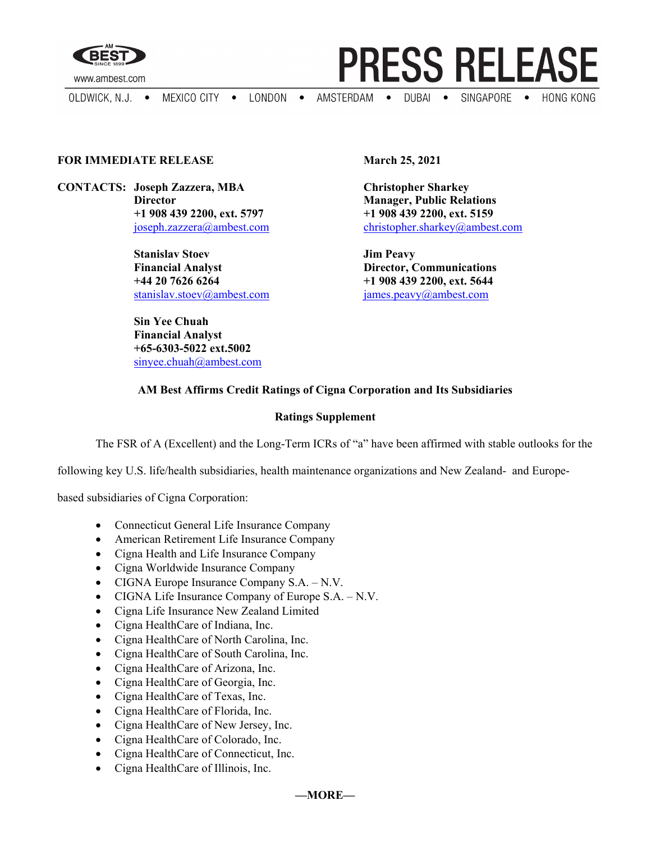

www.ambest.com

OLDWICK, N.J.  $\bullet$ 

MEXICO CITY . LONDON .

AMSTERDAM . DUBAI . SINGAPORE . HONG KONG

**PRESS RELEASE** 

## **FOR IMMEDIATE RELEASE March 25, 2021**

**CONTACTS: Joseph Zazzera, MBA Christopher Sharkey**

**Stanislav Stoev Jim Peavy Financial Analyst Director, Communications +44 20 7626 6264 +1 908 439 2200, ext. 5644** [stanislav.stoev@ambest.com](mailto:stanislav.stoev@ambest.com) [james.peavy@ambest.com](mailto:james.peavy@ambest.com)

**Sin Yee Chuah Financial Analyst +65-6303-5022 ext.5002** sinyee.chuah@ambest.com

**Director Manager, Public Relations +1 908 439 2200, ext. 5797 +1 908 439 2200, ext. 5159** [joseph.zazzera@ambest.com](mailto:joseph.zazzera@ambest.com)[christopher.sharkey@ambest.com](mailto:christopher.sharkey@ambest.com)

## **AM Best Affirms Credit Ratings of Cigna Corporation and Its Subsidiaries**

## **Ratings Supplement**

The FSR of A (Excellent) and the Long-Term ICRs of "a" have been affirmed with stable outlooks for the

following key U.S. life/health subsidiaries, health maintenance organizations and New Zealand- and Europe-

based subsidiaries of Cigna Corporation:

- Connecticut General Life Insurance Company
- American Retirement Life Insurance Company
- Cigna Health and Life Insurance Company
- Cigna Worldwide Insurance Company
- CIGNA Europe Insurance Company S.A. N.V.
- CIGNA Life Insurance Company of Europe S.A. N.V.
- Cigna Life Insurance New Zealand Limited
- Cigna HealthCare of Indiana, Inc.
- Cigna HealthCare of North Carolina, Inc.
- Cigna HealthCare of South Carolina, Inc.
- Cigna HealthCare of Arizona, Inc.
- Cigna HealthCare of Georgia, Inc.
- Cigna HealthCare of Texas, Inc.
- Cigna HealthCare of Florida, Inc.
- Cigna HealthCare of New Jersey, Inc.
- Cigna HealthCare of Colorado, Inc.
- Cigna HealthCare of Connecticut, Inc.
- Cigna HealthCare of Illinois, Inc.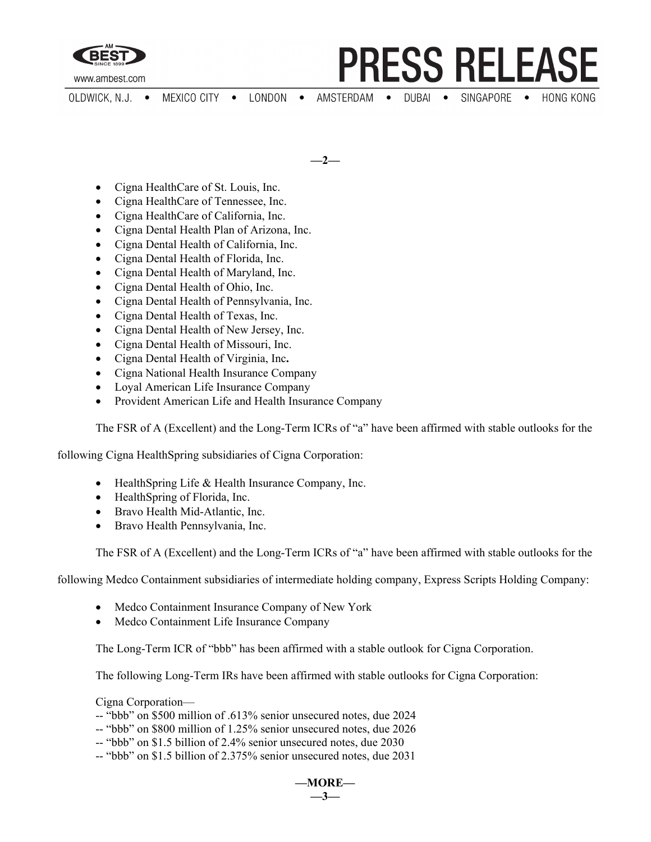

www.ambest.com

- **PRESS RELEASE**
- LONDON AMSTERDAM . SINGAPORE • OLDWICK, N.J. • MEXICO CITY  $DUBAI$   $\bullet$ **HONG KONG**  $\bullet$

**—2—**

- Cigna HealthCare of St. Louis, Inc.
- Cigna HealthCare of Tennessee, Inc.
- Cigna HealthCare of California, Inc.
- Cigna Dental Health Plan of Arizona, Inc.
- Cigna Dental Health of California, Inc.
- Cigna Dental Health of Florida, Inc.
- Cigna Dental Health of Maryland, Inc.
- Cigna Dental Health of Ohio, Inc.
- Cigna Dental Health of Pennsylvania, Inc.
- Cigna Dental Health of Texas, Inc.
- Cigna Dental Health of New Jersey, Inc.
- Cigna Dental Health of Missouri, Inc.
- Cigna Dental Health of Virginia, Inc**.**
- Cigna National Health Insurance Company
- Loyal American Life Insurance Company
- Provident American Life and Health Insurance Company

The FSR of A (Excellent) and the Long-Term ICRs of "a" have been affirmed with stable outlooks for the

following Cigna HealthSpring subsidiaries of Cigna Corporation:

- Health Spring Life & Health Insurance Company, Inc.
- Health Spring of Florida, Inc.
- Bravo Health Mid-Atlantic, Inc.
- Bravo Health Pennsylvania, Inc.

The FSR of A (Excellent) and the Long-Term ICRs of "a" have been affirmed with stable outlooks for the

following Medco Containment subsidiaries of intermediate holding company, Express Scripts Holding Company:

- Medco Containment Insurance Company of New York
- Medco Containment Life Insurance Company

The Long-Term ICR of "bbb" has been affirmed with a stable outlook for Cigna Corporation.

The following Long-Term IRs have been affirmed with stable outlooks for Cigna Corporation:

Cigna Corporation—

- -- "bbb" on \$500 million of .613% senior unsecured notes, due 2024
- -- "bbb" on \$800 million of 1.25% senior unsecured notes, due 2026
- -- "bbb" on \$1.5 billion of 2.4% senior unsecured notes, due 2030
- -- "bbb" on \$1.5 billion of 2.375% senior unsecured notes, due 2031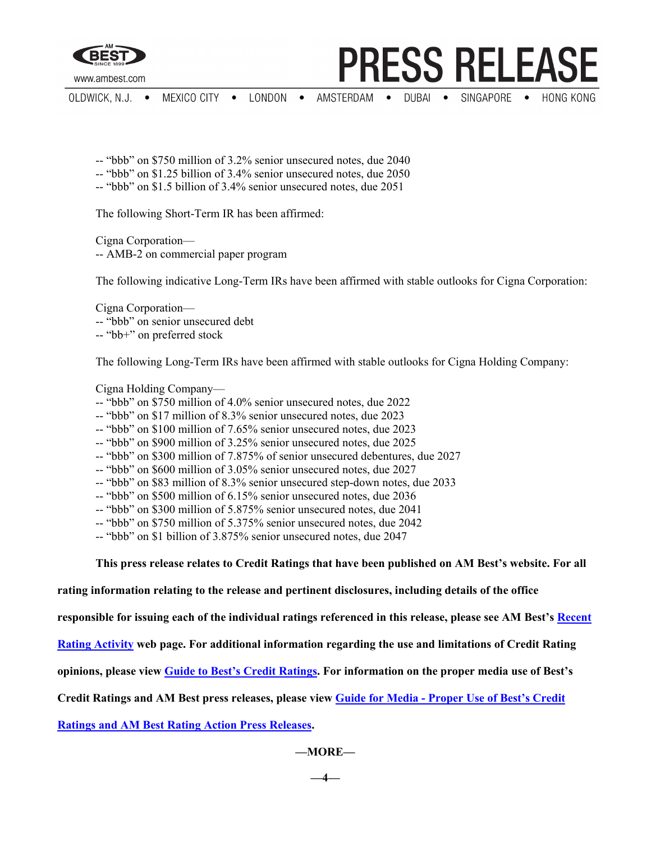

www.ambest.com

- **PRESS RELEASE**
- AMSTERDAM SINGAPORE • MEXICO CITY . LONDON .  $DUBAI$   $\bullet$ **HONG KONG** OLDWICK, N.J. •
	- -- "bbb" on \$750 million of 3.2% senior unsecured notes, due 2040
	- -- "bbb" on \$1.25 billion of 3.4% senior unsecured notes, due 2050
	- -- "bbb" on \$1.5 billion of 3.4% senior unsecured notes, due 2051

The following Short-Term IR has been affirmed:

Cigna Corporation— -- AMB-2 on commercial paper program

The following indicative Long-Term IRs have been affirmed with stable outlooks for Cigna Corporation:

Cigna Corporation—

-- "bbb" on senior unsecured debt

-- "bb+" on preferred stock

The following Long-Term IRs have been affirmed with stable outlooks for Cigna Holding Company:

Cigna Holding Company—

- -- "bbb" on \$750 million of 4.0% senior unsecured notes, due 2022
- -- "bbb" on \$17 million of 8.3% senior unsecured notes, due 2023
- -- "bbb" on \$100 million of 7.65% senior unsecured notes, due 2023
- -- "bbb" on \$900 million of 3.25% senior unsecured notes, due 2025
- -- "bbb" on \$300 million of 7.875% of senior unsecured debentures, due 2027
- -- "bbb" on \$600 million of 3.05% senior unsecured notes, due 2027
- -- "bbb" on \$83 million of 8.3% senior unsecured step-down notes, due 2033
- -- "bbb" on \$500 million of 6.15% senior unsecured notes, due 2036
- -- "bbb" on \$300 million of 5.875% senior unsecured notes, due 2041
- -- "bbb" on \$750 million of 5.375% senior unsecured notes, due 2042
- -- "bbb" on \$1 billion of 3.875% senior unsecured notes, due 2047

**This press release relates to Credit Ratings that have been published on AM Best's website. For all** 

**rating information relating to the release and pertinent disclosures, including details of the office** 

**responsible for issuing each of the individual ratings referenced in this release, please see AM Best's [Recent](http://ratings.ambest.com/ratingeventdisclosures.aspx)** 

**[Rating Activity](http://ratings.ambest.com/ratingeventdisclosures.aspx) web page. For additional information regarding the use and limitations of Credit Rating** 

**opinions, please view [Guide to Best's Credit Ratings.](http://www3.ambest.com/ambv/ratingmethodology/OpenPDF.aspx?ri=1368) For information on the proper media use of Best's** 

**Credit Ratings and AM Best press releases, please view Guide for Media - [Proper Use of Best's Credit](http://www.ambest.com/about/MediaGuide-BestsCreditRatingsProperUse.pdf)** 

**[Ratings and AM Best Rating Action Press Releases.](http://www.ambest.com/about/MediaGuide-BestsCreditRatingsProperUse.pdf)**

**—MORE—**